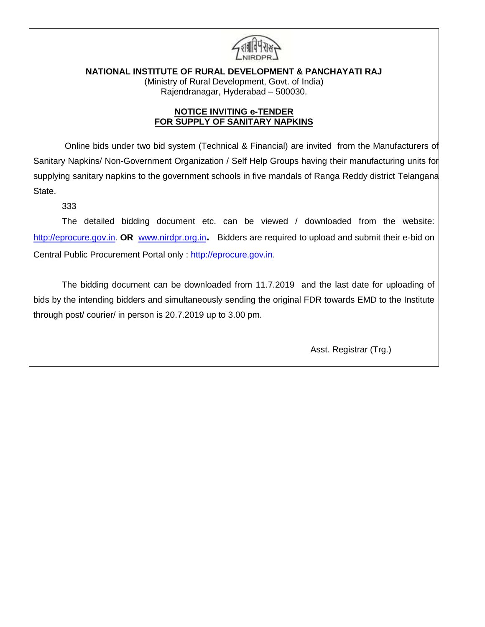

**NATIONAL INSTITUTE OF RURAL DEVELOPMENT & PANCHAYATI RAJ**

(Ministry of Rural Development, Govt. of India) Rajendranagar, Hyderabad – 500030.

# **NOTICE INVITING e-TENDER FOR SUPPLY OF SANITARY NAPKINS**

 Online bids under two bid system (Technical & Financial) are invited from the Manufacturers of Sanitary Napkins/ Non-Government Organization / Self Help Groups having their manufacturing units for supplying sanitary napkins to the government schools in five mandals of Ranga Reddy district Telangana State.

333

The detailed bidding document etc. can be viewed / downloaded from the website: [http://eprocure.gov.in.](http://eprocure.gov.in/) **OR** [www.nirdpr.org.in](http://www.nirdpr.org.in/). Bidders are required to upload and submit their e-bid on Central Public Procurement Portal only : [http://eprocure.gov.in.](http://eprocure.gov.in/)

The bidding document can be downloaded from 11.7.2019 and the last date for uploading of bids by the intending bidders and simultaneously sending the original FDR towards EMD to the Institute through post/ courier/ in person is 20.7.2019 up to 3.00 pm.

Asst. Registrar (Trg.)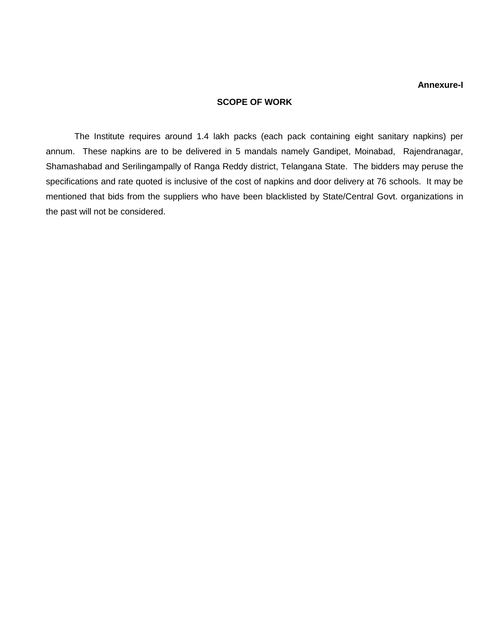#### **Annexure-I**

### **SCOPE OF WORK**

The Institute requires around 1.4 lakh packs (each pack containing eight sanitary napkins) per annum. These napkins are to be delivered in 5 mandals namely Gandipet, Moinabad, Rajendranagar, Shamashabad and Serilingampally of Ranga Reddy district, Telangana State. The bidders may peruse the specifications and rate quoted is inclusive of the cost of napkins and door delivery at 76 schools. It may be mentioned that bids from the suppliers who have been blacklisted by State/Central Govt. organizations in the past will not be considered.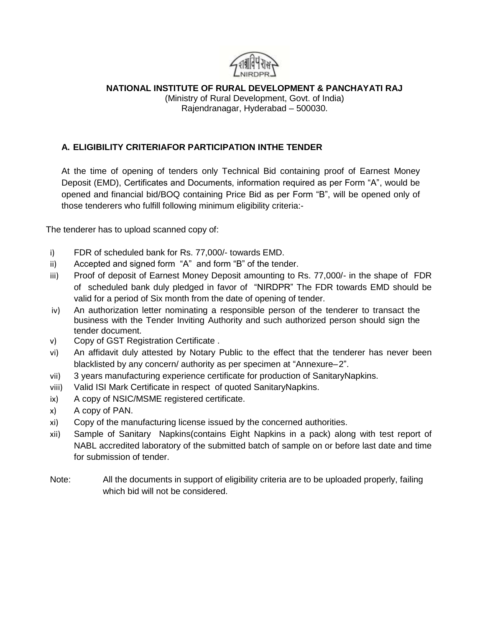

# **NATIONAL INSTITUTE OF RURAL DEVELOPMENT & PANCHAYATI RAJ**

(Ministry of Rural Development, Govt. of India) Rajendranagar, Hyderabad – 500030.

# **A. ELIGIBILITY CRITERIAFOR PARTICIPATION INTHE TENDER**

At the time of opening of tenders only Technical Bid containing proof of Earnest Money Deposit (EMD), Certificates and Documents, information required as per Form "A", would be opened and financial bid/BOQ containing Price Bid as per Form "B", will be opened only of those tenderers who fulfill following minimum eligibility criteria:-

The tenderer has to upload scanned copy of:

- i) FDR of scheduled bank for Rs. 77,000/- towards EMD.
- ii) Accepted and signed form "A" and form "B" of the tender.
- iii) Proof of deposit of Earnest Money Deposit amounting to Rs. 77,000/- in the shape of FDR of scheduled bank duly pledged in favor of "NIRDPR" The FDR towards EMD should be valid for a period of Six month from the date of opening of tender.
- iv) An authorization letter nominating a responsible person of the tenderer to transact the business with the Tender Inviting Authority and such authorized person should sign the tender document.
- v) Copy of GST Registration Certificate .
- vi) An affidavit duly attested by Notary Public to the effect that the tenderer has never been blacklisted by any concern/ authority as per specimen at "Annexure–2".
- vii) 3 years manufacturing experience certificate for production of SanitaryNapkins.
- viii) Valid ISI Mark Certificate in respect of quoted SanitaryNapkins.
- ix) A copy of NSIC/MSME registered certificate.
- x) A copy of PAN.
- xi) Copy of the manufacturing license issued by the concerned authorities.
- xii) Sample of Sanitary Napkins(contains Eight Napkins in a pack) along with test report of NABL accredited laboratory of the submitted batch of sample on or before last date and time for submission of tender.
- Note: All the documents in support of eligibility criteria are to be uploaded properly, failing which bid will not be considered.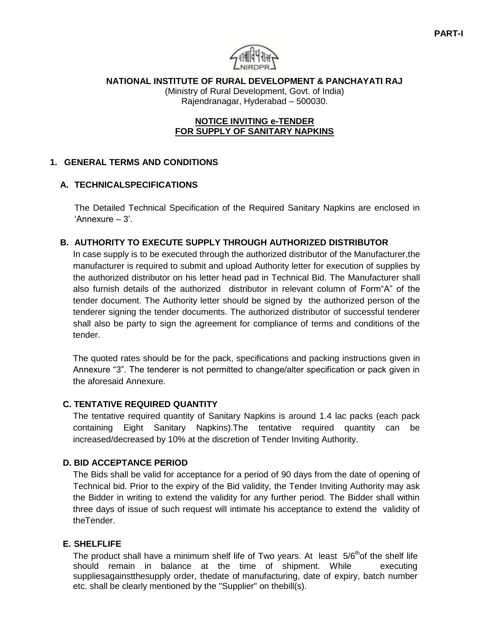**NATIONAL INSTITUTE OF RURAL DEVELOPMENT & PANCHAYATI RAJ**

(Ministry of Rural Development, Govt. of India) Rajendranagar, Hyderabad – 500030.

## **NOTICE INVITING e-TENDER FOR SUPPLY OF SANITARY NAPKINS**

# **1. GENERAL TERMS AND CONDITIONS**

# **A. TECHNICALSPECIFICATIONS**

The Detailed Technical Specification of the Required Sanitary Napkins are enclosed in 'Annexure – 3'.

# **B. AUTHORITY TO EXECUTE SUPPLY THROUGH AUTHORIZED DISTRIBUTOR**

In case supply is to be executed through the authorized distributor of the Manufacturer,the manufacturer is required to submit and upload Authority letter for execution of supplies by the authorized distributor on his letter head pad in Technical Bid. The Manufacturer shall also furnish details of the authorized distributor in relevant column of Form"A" of the tender document. The Authority letter should be signed by the authorized person of the tenderer signing the tender documents. The authorized distributor of successful tenderer shall also be party to sign the agreement for compliance of terms and conditions of the tender.

The quoted rates should be for the pack, specifications and packing instructions given in Annexure "3". The tenderer is not permitted to change/alter specification or pack given in the aforesaid Annexure.

# **C. TENTATIVE REQUIRED QUANTITY**

The tentative required quantity of Sanitary Napkins is around 1.4 lac packs (each pack containing Eight Sanitary Napkins).The tentative required quantity can be increased/decreased by 10% at the discretion of Tender Inviting Authority.

# **D. BID ACCEPTANCE PERIOD**

The Bids shall be valid for acceptance for a period of 90 days from the date of opening of Technical bid. Prior to the expiry of the Bid validity, the Tender Inviting Authority may ask the Bidder in writing to extend the validity for any further period. The Bidder shall within three days of issue of such request will intimate his acceptance to extend the validity of theTender.

# **E. SHELFLIFE**

The product shall have a minimum shelf life of Two years. At least  $5/6<sup>th</sup>$ of the shelf life should remain in balance at the time of shipment. While executing suppliesagainstthesupply order, thedate of manufacturing, date of expiry, batch number etc. shall be clearly mentioned by the "Supplier" on thebill(s).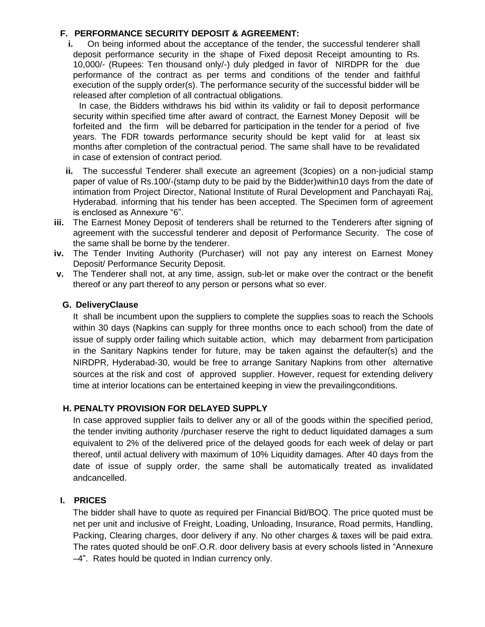### **F. PERFORMANCE SECURITY DEPOSIT & AGREEMENT:**

**i.** On being informed about the acceptance of the tender, the successful tenderer shall deposit performance security in the shape of Fixed deposit Receipt amounting to Rs. 10,000/- (Rupees: Ten thousand only/-) duly pledged in favor of NIRDPR for the due performance of the contract as per terms and conditions of the tender and faithful execution of the supply order(s). The performance security of the successful bidder will be released after completion of all contractual obligations.

In case, the Bidders withdraws his bid within its validity or fail to deposit performance security within specified time after award of contract, the Earnest Money Deposit will be forfeited and the firm will be debarred for participation in the tender for a period of five years. The FDR towards performance security should be kept valid for at least six months after completion of the contractual period. The same shall have to be revalidated in case of extension of contract period.

- **ii.** The successful Tenderer shall execute an agreement (3copies) on a non-judicial stamp paper of value of Rs.100/-(stamp duty to be paid by the Bidder)within10 days from the date of intimation from Project Director, National Institute of Rural Development and Panchayati Raj, Hyderabad. informing that his tender has been accepted. The Specimen form of agreement is enclosed as Annexure "6".
- **iii.** The Earnest Money Deposit of tenderers shall be returned to the Tenderers after signing of agreement with the successful tenderer and deposit of Performance Security. The cose of the same shall be borne by the tenderer.
- **iv.** The Tender Inviting Authority (Purchaser) will not pay any interest on Earnest Money Deposit/ Performance Security Deposit.
- **v.** The Tenderer shall not, at any time, assign, sub-let or make over the contract or the benefit thereof or any part thereof to any person or persons what so ever.

# **G. DeliveryClause**

It shall be incumbent upon the suppliers to complete the supplies soas to reach the Schools within 30 days (Napkins can supply for three months once to each school) from the date of issue of supply order failing which suitable action, which may debarment from participation in the Sanitary Napkins tender for future, may be taken against the defaulter(s) and the NIRDPR, Hyderabad-30, would be free to arrange Sanitary Napkins from other alternative sources at the risk and cost of approved supplier. However, request for extending delivery time at interior locations can be entertained keeping in view the prevailingconditions.

# **H. PENALTY PROVISION FOR DELAYED SUPPLY**

In case approved supplier fails to deliver any or all of the goods within the specified period, the tender inviting authority /purchaser reserve the right to deduct liquidated damages a sum equivalent to 2% of the delivered price of the delayed goods for each week of delay or part thereof, until actual delivery with maximum of 10% Liquidity damages. After 40 days from the date of issue of supply order, the same shall be automatically treated as invalidated andcancelled.

### **I. PRICES**

The bidder shall have to quote as required per Financial Bid/BOQ. The price quoted must be net per unit and inclusive of Freight, Loading, Unloading, Insurance, Road permits, Handling, Packing, Clearing charges, door delivery if any. No other charges & taxes will be paid extra. The rates quoted should be onF.O.R. door delivery basis at every schools listed in "Annexure –4". Rates hould be quoted in Indian currency only.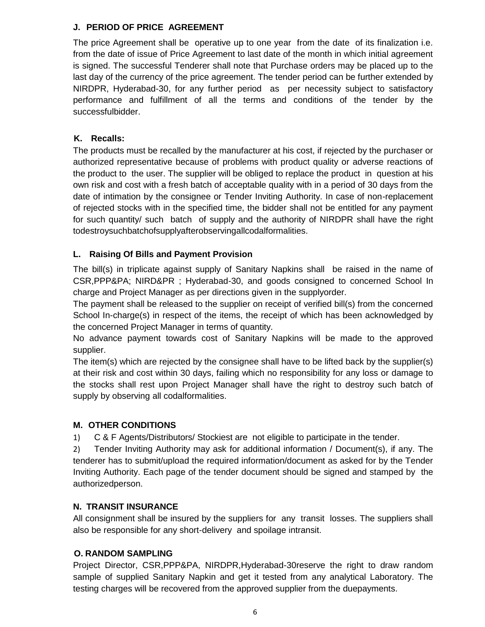# **J. PERIOD OF PRICE AGREEMENT**

The price Agreement shall be operative up to one year from the date of its finalization i.e. from the date of issue of Price Agreement to last date of the month in which initial agreement is signed. The successful Tenderer shall note that Purchase orders may be placed up to the last day of the currency of the price agreement. The tender period can be further extended by NIRDPR, Hyderabad-30, for any further period as per necessity subject to satisfactory performance and fulfillment of all the terms and conditions of the tender by the successfulbidder.

# **K. Recalls:**

The products must be recalled by the manufacturer at his cost, if rejected by the purchaser or authorized representative because of problems with product quality or adverse reactions of the product to the user. The supplier will be obliged to replace the product in question at his own risk and cost with a fresh batch of acceptable quality with in a period of 30 days from the date of intimation by the consignee or Tender Inviting Authority. In case of non-replacement of rejected stocks with in the specified time, the bidder shall not be entitled for any payment for such quantity/ such batch of supply and the authority of NIRDPR shall have the right todestroysuchbatchofsupplyafterobservingallcodalformalities.

# **L. Raising Of Bills and Payment Provision**

The bill(s) in triplicate against supply of Sanitary Napkins shall be raised in the name of CSR,PPP&PA; NIRD&PR ; Hyderabad-30, and goods consigned to concerned School In charge and Project Manager as per directions given in the supplyorder.

The payment shall be released to the supplier on receipt of verified bill(s) from the concerned School In-charge(s) in respect of the items, the receipt of which has been acknowledged by the concerned Project Manager in terms of quantity.

No advance payment towards cost of Sanitary Napkins will be made to the approved supplier.

The item(s) which are rejected by the consignee shall have to be lifted back by the supplier(s) at their risk and cost within 30 days, failing which no responsibility for any loss or damage to the stocks shall rest upon Project Manager shall have the right to destroy such batch of supply by observing all codalformalities.

### **M. OTHER CONDITIONS**

1) C & F Agents/Distributors/ Stockiest are not eligible to participate in the tender.

2) Tender Inviting Authority may ask for additional information / Document(s), if any. The tenderer has to submit/upload the required information/document as asked for by the Tender Inviting Authority. Each page of the tender document should be signed and stamped by the authorizedperson.

# **N. TRANSIT INSURANCE**

All consignment shall be insured by the suppliers for any transit losses. The suppliers shall also be responsible for any short-delivery and spoilage intransit.

# **O. RANDOM SAMPLING**

Project Director, CSR,PPP&PA, NIRDPR,Hyderabad-30reserve the right to draw random sample of supplied Sanitary Napkin and get it tested from any analytical Laboratory. The testing charges will be recovered from the approved supplier from the duepayments.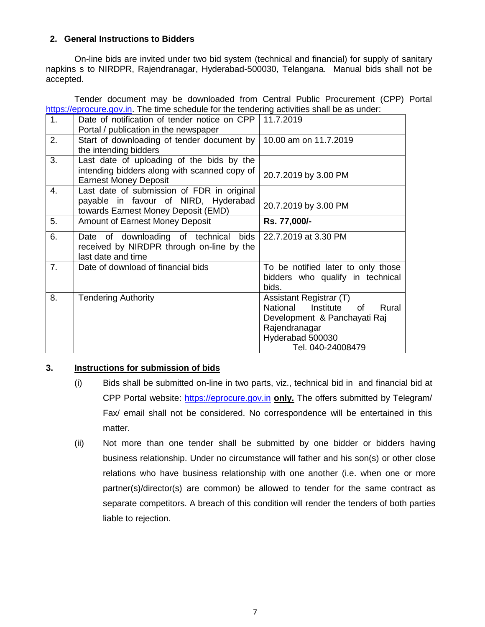### **2. General Instructions to Bidders**

On-line bids are invited under two bid system (technical and financial) for supply of sanitary napkins s to NIRDPR, Rajendranagar, Hyderabad-500030, Telangana. Manual bids shall not be accepted.

Tender document may be downloaded from Central Public Procurement (CPP) Portal [https://eprocure.gov.in.](https://eprocure.gov.in/) The time schedule for the tendering activities shall be as under:

| 1.             | Date of notification of tender notice on CPP | 11.7.2019                              |
|----------------|----------------------------------------------|----------------------------------------|
|                | Portal / publication in the newspaper        |                                        |
| 2.             | Start of downloading of tender document by   | 10.00 am on 11.7.2019                  |
|                | the intending bidders                        |                                        |
| 3.             | Last date of uploading of the bids by the    |                                        |
|                | intending bidders along with scanned copy of | 20.7.2019 by 3.00 PM                   |
|                | <b>Earnest Money Deposit</b>                 |                                        |
| 4.             | Last date of submission of FDR in original   |                                        |
|                | payable in favour of NIRD, Hyderabad         | 20.7.2019 by 3.00 PM                   |
|                | towards Earnest Money Deposit (EMD)          |                                        |
| 5.             | <b>Amount of Earnest Money Deposit</b>       | Rs. 77,000/-                           |
| 6.             | Date of downloading of technical<br>bids     | 22.7.2019 at 3.30 PM                   |
|                | received by NIRDPR through on-line by the    |                                        |
|                | last date and time                           |                                        |
| 7 <sub>1</sub> | Date of download of financial bids           | To be notified later to only those     |
|                |                                              | bidders who qualify in technical       |
|                |                                              | bids.                                  |
| 8.             | <b>Tendering Authority</b>                   | Assistant Registrar (T)                |
|                |                                              | National<br>Institute<br>Rural<br>of l |
|                |                                              | Development & Panchayati Raj           |
|                |                                              | Rajendranagar                          |
|                |                                              | Hyderabad 500030                       |
|                |                                              | Tel. 040-24008479                      |

# **3. Instructions for submission of bids**

- (i) Bids shall be submitted on-line in two parts, viz., technical bid in and financial bid at CPP Portal website: [https://eprocure.gov.in](https://eprocure.gov.in/) **only.** The offers submitted by Telegram/ Fax/ email shall not be considered. No correspondence will be entertained in this matter.
- (ii) Not more than one tender shall be submitted by one bidder or bidders having business relationship. Under no circumstance will father and his son(s) or other close relations who have business relationship with one another (i.e. when one or more partner(s)/director(s) are common) be allowed to tender for the same contract as separate competitors. A breach of this condition will render the tenders of both parties liable to rejection.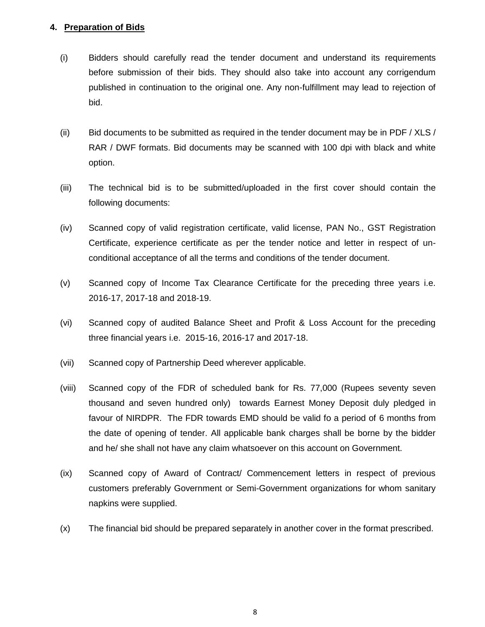### **4. Preparation of Bids**

- (i) Bidders should carefully read the tender document and understand its requirements before submission of their bids. They should also take into account any corrigendum published in continuation to the original one. Any non-fulfillment may lead to rejection of bid.
- (ii) Bid documents to be submitted as required in the tender document may be in PDF / XLS / RAR / DWF formats. Bid documents may be scanned with 100 dpi with black and white option.
- (iii) The technical bid is to be submitted/uploaded in the first cover should contain the following documents:
- (iv) Scanned copy of valid registration certificate, valid license, PAN No., GST Registration Certificate, experience certificate as per the tender notice and letter in respect of unconditional acceptance of all the terms and conditions of the tender document.
- (v) Scanned copy of Income Tax Clearance Certificate for the preceding three years i.e. 2016-17, 2017-18 and 2018-19.
- (vi) Scanned copy of audited Balance Sheet and Profit & Loss Account for the preceding three financial years i.e. 2015-16, 2016-17 and 2017-18.
- (vii) Scanned copy of Partnership Deed wherever applicable.
- (viii) Scanned copy of the FDR of scheduled bank for Rs. 77,000 (Rupees seventy seven thousand and seven hundred only) towards Earnest Money Deposit duly pledged in favour of NIRDPR. The FDR towards EMD should be valid fo a period of 6 months from the date of opening of tender. All applicable bank charges shall be borne by the bidder and he/ she shall not have any claim whatsoever on this account on Government.
- (ix) Scanned copy of Award of Contract/ Commencement letters in respect of previous customers preferably Government or Semi-Government organizations for whom sanitary napkins were supplied.
- (x) The financial bid should be prepared separately in another cover in the format prescribed.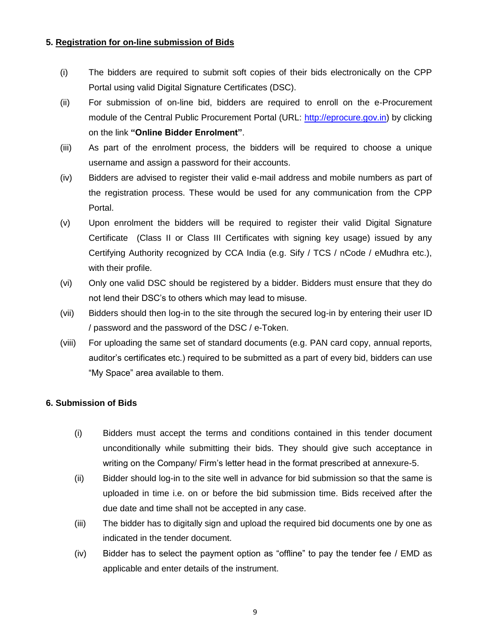### **5. Registration for on-line submission of Bids**

- (i) The bidders are required to submit soft copies of their bids electronically on the CPP Portal using valid Digital Signature Certificates (DSC).
- (ii) For submission of on-line bid, bidders are required to enroll on the e-Procurement module of the Central Public Procurement Portal (URL: [http://eprocure.gov.in\)](http://eprocure.gov.in/eprocure/app) by clicking on the link **"Online Bidder Enrolment"**.
- (iii) As part of the enrolment process, the bidders will be required to choose a unique username and assign a password for their accounts.
- (iv) Bidders are advised to register their valid e-mail address and mobile numbers as part of the registration process. These would be used for any communication from the CPP Portal.
- (v) Upon enrolment the bidders will be required to register their valid Digital Signature Certificate (Class II or Class III Certificates with signing key usage) issued by any Certifying Authority recognized by CCA India (e.g. Sify / TCS / nCode / eMudhra etc.), with their profile.
- (vi) Only one valid DSC should be registered by a bidder. Bidders must ensure that they do not lend their DSC's to others which may lead to misuse.
- (vii) Bidders should then log-in to the site through the secured log-in by entering their user ID / password and the password of the DSC / e-Token.
- (viii) For uploading the same set of standard documents (e.g. PAN card copy, annual reports, auditor's certificates etc.) required to be submitted as a part of every bid, bidders can use "My Space" area available to them.

# **6. Submission of Bids**

- (i) Bidders must accept the terms and conditions contained in this tender document unconditionally while submitting their bids. They should give such acceptance in writing on the Company/ Firm's letter head in the format prescribed at annexure-5.
- (ii) Bidder should log-in to the site well in advance for bid submission so that the same is uploaded in time i.e. on or before the bid submission time. Bids received after the due date and time shall not be accepted in any case.
- (iii) The bidder has to digitally sign and upload the required bid documents one by one as indicated in the tender document.
- (iv) Bidder has to select the payment option as "offline" to pay the tender fee / EMD as applicable and enter details of the instrument.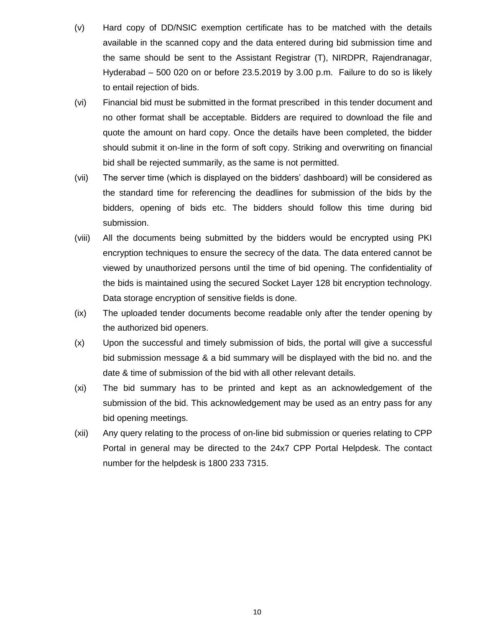- (v) Hard copy of DD/NSIC exemption certificate has to be matched with the details available in the scanned copy and the data entered during bid submission time and the same should be sent to the Assistant Registrar (T), NIRDPR, Rajendranagar, Hyderabad – 500 020 on or before 23.5.2019 by 3.00 p.m. Failure to do so is likely to entail rejection of bids.
- (vi) Financial bid must be submitted in the format prescribed in this tender document and no other format shall be acceptable. Bidders are required to download the file and quote the amount on hard copy. Once the details have been completed, the bidder should submit it on-line in the form of soft copy. Striking and overwriting on financial bid shall be rejected summarily, as the same is not permitted.
- (vii) The server time (which is displayed on the bidders' dashboard) will be considered as the standard time for referencing the deadlines for submission of the bids by the bidders, opening of bids etc. The bidders should follow this time during bid submission.
- (viii) All the documents being submitted by the bidders would be encrypted using PKI encryption techniques to ensure the secrecy of the data. The data entered cannot be viewed by unauthorized persons until the time of bid opening. The confidentiality of the bids is maintained using the secured Socket Layer 128 bit encryption technology. Data storage encryption of sensitive fields is done.
- (ix) The uploaded tender documents become readable only after the tender opening by the authorized bid openers.
- (x) Upon the successful and timely submission of bids, the portal will give a successful bid submission message & a bid summary will be displayed with the bid no. and the date & time of submission of the bid with all other relevant details.
- (xi) The bid summary has to be printed and kept as an acknowledgement of the submission of the bid. This acknowledgement may be used as an entry pass for any bid opening meetings.
- (xii) Any query relating to the process of on-line bid submission or queries relating to CPP Portal in general may be directed to the 24x7 CPP Portal Helpdesk. The contact number for the helpdesk is 1800 233 7315.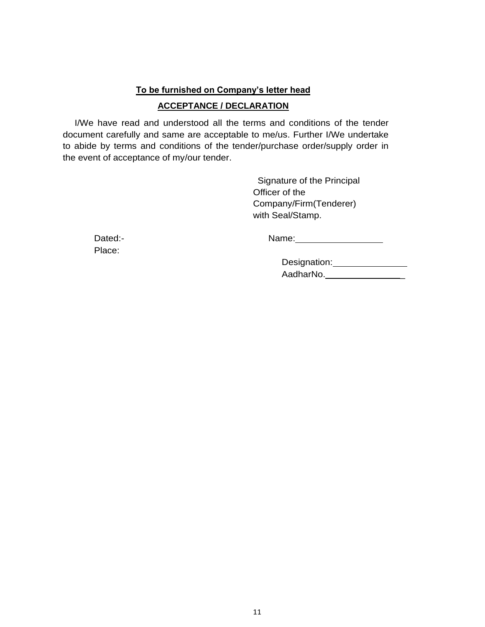### **To be furnished on Company's letter head**

# **ACCEPTANCE / DECLARATION**

I/We have read and understood all the terms and conditions of the tender document carefully and same are acceptable to me/us. Further I/We undertake to abide by terms and conditions of the tender/purchase order/supply order in the event of acceptance of my/our tender.

> Signature of the Principal Officer of the Company/Firm(Tenderer) with Seal/Stamp.

Place:

Dated:- **Name:** Name: 2008. 2012. 2014. 2014. 2015. 2016. 2017. 2018. 2017. 2018. 2017. 2018. 2019. 2017. 2018. 2018. 2019. 2017. 2018. 2019. 2018. 2019. 2019. 2018. 2019. 2019. 2019. 2019. 2019. 2019. 2019. 2019. 2019. 20

| Designation: |  |
|--------------|--|
| AadharNo.    |  |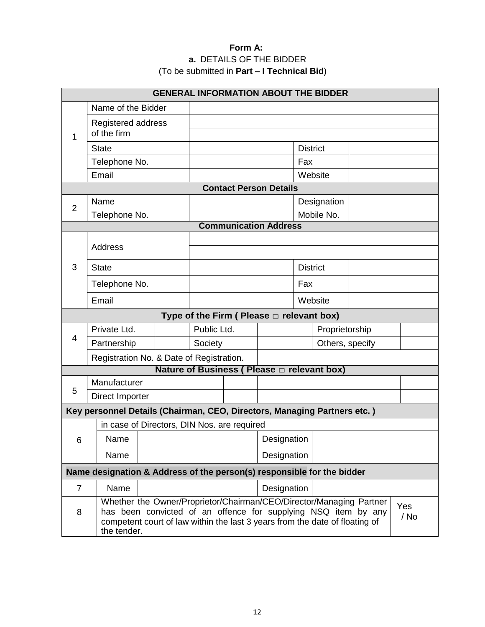# **Form A: a.** DETAILS OF THE BIDDER (To be submitted in **Part – I Technical Bid**)

| <b>GENERAL INFORMATION ABOUT THE BIDDER</b> |                    |                                                                                                                                               |         |             |                                                |                 |                 |  |      |
|---------------------------------------------|--------------------|-----------------------------------------------------------------------------------------------------------------------------------------------|---------|-------------|------------------------------------------------|-----------------|-----------------|--|------|
|                                             | Name of the Bidder |                                                                                                                                               |         |             |                                                |                 |                 |  |      |
|                                             | Registered address |                                                                                                                                               |         |             |                                                |                 |                 |  |      |
| 1                                           | of the firm        |                                                                                                                                               |         |             |                                                |                 |                 |  |      |
|                                             | <b>State</b>       |                                                                                                                                               |         |             |                                                | <b>District</b> |                 |  |      |
|                                             | Telephone No.      |                                                                                                                                               |         |             |                                                | Fax             |                 |  |      |
|                                             | Email              |                                                                                                                                               |         |             |                                                |                 | Website         |  |      |
|                                             |                    |                                                                                                                                               |         |             | <b>Contact Person Details</b>                  |                 |                 |  |      |
| $\overline{2}$                              | Name               |                                                                                                                                               |         |             |                                                |                 | Designation     |  |      |
|                                             | Telephone No.      |                                                                                                                                               |         |             |                                                |                 | Mobile No.      |  |      |
| <b>Communication Address</b>                |                    |                                                                                                                                               |         |             |                                                |                 |                 |  |      |
|                                             | <b>Address</b>     |                                                                                                                                               |         |             |                                                |                 |                 |  |      |
| 3                                           | <b>State</b>       |                                                                                                                                               |         |             |                                                | <b>District</b> |                 |  |      |
|                                             |                    |                                                                                                                                               |         |             |                                                |                 |                 |  |      |
|                                             |                    | Telephone No.                                                                                                                                 |         |             |                                                | Fax             |                 |  |      |
|                                             | Email              |                                                                                                                                               | Website |             |                                                |                 |                 |  |      |
|                                             |                    |                                                                                                                                               |         |             | Type of the Firm ( Please $\Box$ relevant box) |                 |                 |  |      |
| 4                                           | Private Ltd.       |                                                                                                                                               |         | Public Ltd. |                                                |                 | Proprietorship  |  |      |
|                                             | Partnership        |                                                                                                                                               | Society |             |                                                |                 | Others, specify |  |      |
|                                             |                    | Registration No. & Date of Registration.                                                                                                      |         |             |                                                |                 |                 |  |      |
|                                             |                    |                                                                                                                                               |         |             | Nature of Business ( Please □ relevant box)    |                 |                 |  |      |
| 5                                           | Manufacturer       |                                                                                                                                               |         |             |                                                |                 |                 |  |      |
|                                             | Direct Importer    |                                                                                                                                               |         |             |                                                |                 |                 |  |      |
|                                             |                    | Key personnel Details (Chairman, CEO, Directors, Managing Partners etc.)                                                                      |         |             |                                                |                 |                 |  |      |
|                                             |                    | in case of Directors, DIN Nos. are required                                                                                                   |         |             |                                                |                 |                 |  |      |
| 6                                           | Name               |                                                                                                                                               |         |             | Designation                                    |                 |                 |  |      |
|                                             | Name               |                                                                                                                                               |         |             | Designation                                    |                 |                 |  |      |
|                                             |                    | Name designation & Address of the person(s) responsible for the bidder                                                                        |         |             |                                                |                 |                 |  |      |
| $\overline{7}$                              | Name               |                                                                                                                                               |         |             | Designation                                    |                 |                 |  |      |
|                                             |                    | Whether the Owner/Proprietor/Chairman/CEO/Director/Managing Partner                                                                           |         |             |                                                |                 |                 |  | Yes  |
| 8                                           |                    | has been convicted of an offence for supplying NSQ item by any<br>competent court of law within the last 3 years from the date of floating of |         |             |                                                |                 |                 |  | / No |
|                                             | the tender.        |                                                                                                                                               |         |             |                                                |                 |                 |  |      |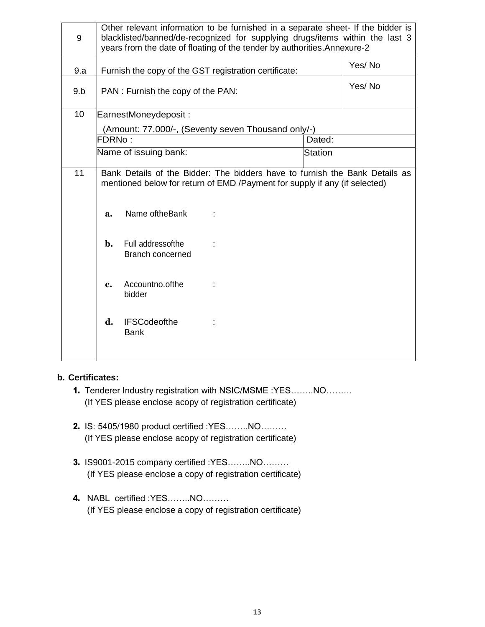| 9   | Other relevant information to be furnished in a separate sheet- If the bidder is<br>blacklisted/banned/de-recognized for supplying drugs/items within the last 3<br>years from the date of floating of the tender by authorities. Annexure-2 |                                                       |                                                                                                                                                            |        |        |
|-----|----------------------------------------------------------------------------------------------------------------------------------------------------------------------------------------------------------------------------------------------|-------------------------------------------------------|------------------------------------------------------------------------------------------------------------------------------------------------------------|--------|--------|
| 9.a |                                                                                                                                                                                                                                              | Furnish the copy of the GST registration certificate: |                                                                                                                                                            | Yes/No |        |
| 9.b |                                                                                                                                                                                                                                              | PAN : Furnish the copy of the PAN:                    |                                                                                                                                                            |        | Yes/No |
| 10  |                                                                                                                                                                                                                                              | EarnestMoneydeposit:                                  |                                                                                                                                                            |        |        |
|     |                                                                                                                                                                                                                                              |                                                       | (Amount: 77,000/-, (Seventy seven Thousand only/-)                                                                                                         |        |        |
|     | FDRNo:                                                                                                                                                                                                                                       |                                                       |                                                                                                                                                            | Dated: |        |
|     | Name of issuing bank:<br>Station                                                                                                                                                                                                             |                                                       |                                                                                                                                                            |        |        |
| 11  |                                                                                                                                                                                                                                              |                                                       | Bank Details of the Bidder: The bidders have to furnish the Bank Details as<br>mentioned below for return of EMD / Payment for supply if any (if selected) |        |        |
|     | a.                                                                                                                                                                                                                                           | Name oftheBank                                        |                                                                                                                                                            |        |        |
|     | b.                                                                                                                                                                                                                                           | Full addressofthe<br>Branch concerned                 |                                                                                                                                                            |        |        |
|     | c.                                                                                                                                                                                                                                           | Accountno.ofthe<br>bidder                             |                                                                                                                                                            |        |        |
|     | d.                                                                                                                                                                                                                                           | <b>IFSCodeofthe</b><br><b>Bank</b>                    |                                                                                                                                                            |        |        |

#### **b. Certificates:**

- 1. Tenderer Industry registration with NSIC/MSME :YES……..NO……… (If YES please enclose acopy of registration certificate)
- 2. IS: 5405/1980 product certified :YES……..NO……… (If YES please enclose acopy of registration certificate)
- 3. IS9001-2015 company certified :YES……..NO……… (If YES please enclose a copy of registration certificate)
- 4. NABL certified :YES……..NO……… (If YES please enclose a copy of registration certificate)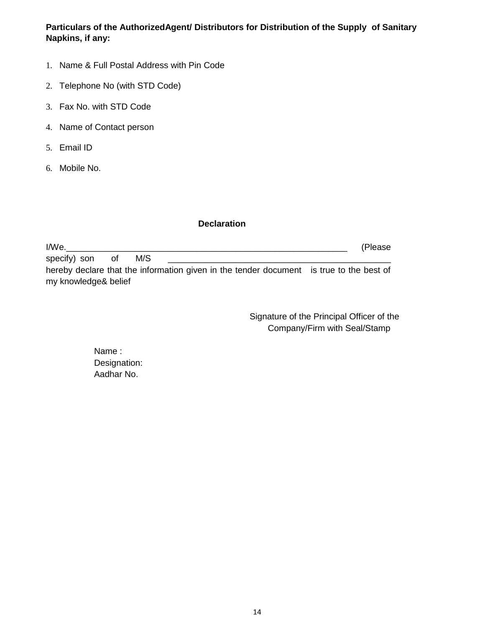**Particulars of the AuthorizedAgent/ Distributors for Distribution of the Supply of Sanitary Napkins, if any:**

- 1. Name & Full Postal Address with Pin Code
- 2. Telephone No (with STD Code)
- 3. Fax No. with STD Code
- 4. Name of Contact person
- 5. Email ID
- 6. Mobile No.

### **Declaration**

I/We.\_\_\_\_\_\_\_\_\_\_\_\_\_\_\_\_\_\_\_\_\_\_\_\_\_\_\_\_\_\_\_\_\_\_\_\_\_\_\_\_\_\_\_\_\_\_\_\_\_\_\_\_\_\_\_\_\_\_ (Please specify) son of M/S hereby declare that the information given in the tender document is true to the best of my knowledge& belief

> Signature of the Principal Officer of the Company/Firm with Seal/Stamp

Name : Designation: Aadhar No.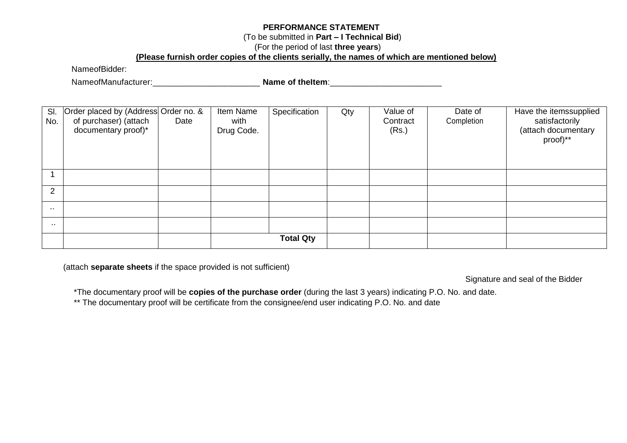### **PERFORMANCE STATEMENT**

### (To be submitted in **Part – I Technical Bid**)

### (For the period of last **three years**)

# **(Please furnish order copies of the clients serially, the names of which are mentioned below)**

NameofBidder:

NameofManufacturer: \_\_\_\_\_\_\_\_\_\_\_\_\_\_\_\_\_\_\_\_\_\_\_\_\_\_ Name of theItem: \_\_\_\_\_\_\_\_\_\_\_\_\_\_\_\_\_

| SI.<br>No. | Order placed by (Address Order no. &<br>of purchaser) (attach<br>documentary proof)* | Date | Item Name<br>with<br>Drug Code. | Specification    | Qty | Value of<br>Contract<br>(Rs.) | Date of<br>Completion | Have the itemssupplied<br>satisfactorily<br>(attach documentary<br>proof)** |
|------------|--------------------------------------------------------------------------------------|------|---------------------------------|------------------|-----|-------------------------------|-----------------------|-----------------------------------------------------------------------------|
|            |                                                                                      |      |                                 |                  |     |                               |                       |                                                                             |
| 2          |                                                                                      |      |                                 |                  |     |                               |                       |                                                                             |
| . .        |                                                                                      |      |                                 |                  |     |                               |                       |                                                                             |
| . .        |                                                                                      |      |                                 |                  |     |                               |                       |                                                                             |
|            |                                                                                      |      |                                 | <b>Total Qty</b> |     |                               |                       |                                                                             |

(attach **separate sheets** if the space provided is not sufficient)

Signature and seal of the Bidder

\*The documentary proof will be **copies of the purchase order** (during the last 3 years) indicating P.O. No. and date.

\*\* The documentary proof will be certificate from the consignee/end user indicating P.O. No. and date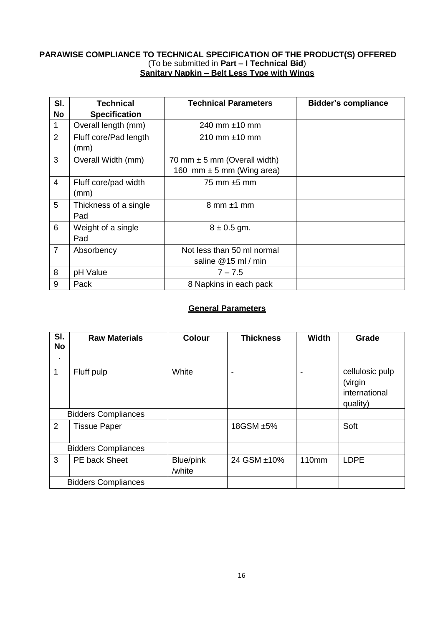### **PARAWISE COMPLIANCE TO TECHNICAL SPECIFICATION OF THE PRODUCT(S) OFFERED** (To be submitted in **Part – I Technical Bid**) **Sanitary Napkin – Belt Less Type with Wings**

| SI.<br>No      | Technical<br><b>Specification</b> | <b>Technical Parameters</b>                                       | <b>Bidder's compliance</b> |
|----------------|-----------------------------------|-------------------------------------------------------------------|----------------------------|
| 1              | Overall length (mm)               | 240 mm $\pm$ 10 mm                                                |                            |
| $\overline{2}$ | Fluff core/Pad length<br>(mm)     | 210 mm $\pm$ 10 mm                                                |                            |
| 3              | Overall Width (mm)                | 70 mm $\pm$ 5 mm (Overall width)<br>160 mm $\pm$ 5 mm (Wing area) |                            |
| $\overline{4}$ | Fluff core/pad width<br>(mm)      | 75 mm $\pm$ 5 mm                                                  |                            |
| 5              | Thickness of a single<br>Pad      | $8 \text{ mm} \pm 1 \text{ mm}$                                   |                            |
| 6              | Weight of a single<br>Pad         | $8 \pm 0.5$ gm.                                                   |                            |
| $\overline{7}$ | Absorbency                        | Not less than 50 ml normal<br>saline @15 ml / min                 |                            |
| 8              | pH Value                          | $7 - 7.5$                                                         |                            |
| 9              | Pack                              | 8 Napkins in each pack                                            |                            |

# **General Parameters**

| SI.<br><b>No</b> | <b>Raw Materials</b>       | <b>Colour</b>       | <b>Thickness</b> | <b>Width</b>      | Grade                                                   |
|------------------|----------------------------|---------------------|------------------|-------------------|---------------------------------------------------------|
| $\blacksquare$   |                            |                     |                  |                   |                                                         |
| 1                | Fluff pulp                 | White               | -                |                   | cellulosic pulp<br>(virgin<br>international<br>quality) |
|                  | <b>Bidders Compliances</b> |                     |                  |                   |                                                         |
| $\overline{2}$   | <b>Tissue Paper</b>        |                     | 18GSM ±5%        |                   | Soft                                                    |
|                  | <b>Bidders Compliances</b> |                     |                  |                   |                                                         |
| 3                | PE back Sheet              | Blue/pink<br>/white | 24 GSM ±10%      | 110 <sub>mm</sub> | <b>LDPE</b>                                             |
|                  | <b>Bidders Compliances</b> |                     |                  |                   |                                                         |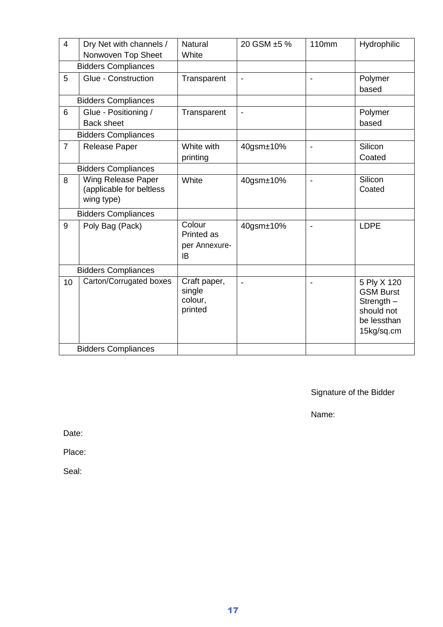| $\overline{4}$ | Dry Net with channels /<br>Nonwoven Top Sheet                       | <b>Natural</b><br>White                      | 20 GSM ±5 %                  | <b>110mm</b> | Hydrophilic                                                                                |
|----------------|---------------------------------------------------------------------|----------------------------------------------|------------------------------|--------------|--------------------------------------------------------------------------------------------|
|                | <b>Bidders Compliances</b>                                          |                                              |                              |              |                                                                                            |
| 5              | Glue - Construction                                                 | Transparent                                  | $\qquad \qquad \blacksquare$ |              | Polymer<br>based                                                                           |
|                | <b>Bidders Compliances</b>                                          |                                              |                              |              |                                                                                            |
| 6              | Glue - Positioning /<br><b>Back sheet</b>                           | Transparent                                  | $\blacksquare$               |              | Polymer<br>based                                                                           |
|                | <b>Bidders Compliances</b>                                          |                                              |                              |              |                                                                                            |
| $\overline{7}$ | <b>Release Paper</b>                                                | White with<br>printing                       | 40gsm±10%                    |              | Silicon<br>Coated                                                                          |
|                | <b>Bidders Compliances</b>                                          |                                              |                              |              |                                                                                            |
| 8              | <b>Wing Release Paper</b><br>(applicable for beltless<br>wing type) | White                                        | 40gsm±10%                    |              | Silicon<br>Coated                                                                          |
|                | <b>Bidders Compliances</b>                                          |                                              |                              |              |                                                                                            |
| 9              | Poly Bag (Pack)                                                     | Colour<br>Printed as<br>per Annexure-<br>IB  | 40gsm±10%                    |              | <b>LDPE</b>                                                                                |
|                | <b>Bidders Compliances</b>                                          |                                              |                              |              |                                                                                            |
| 10             | Carton/Corrugated boxes                                             | Craft paper,<br>single<br>colour,<br>printed | Ē,                           |              | 5 Ply X 120<br><b>GSM Burst</b><br>Strength $-$<br>should not<br>be lessthan<br>15kg/sq.cm |
|                | <b>Bidders Compliances</b>                                          |                                              |                              |              |                                                                                            |

Signature of the Bidder

Name:

Date:

Place:

Seal: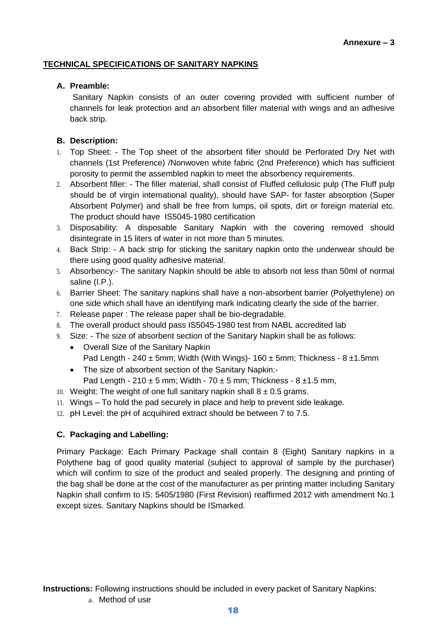### **TECHNICAL SPECIFICATIONS OF SANITARY NAPKINS**

### **A. Preamble:**

Sanitary Napkin consists of an outer covering provided with sufficient number of channels for leak protection and an absorbent filler material with wings and an adhesive back strip.

# **B. Description:**

- 1. Top Sheet: The Top sheet of the absorbent filler should be Perforated Dry Net with channels (1st Preference) /Nonwoven white fabric (2nd Preference) which has sufficient porosity to permit the assembled napkin to meet the absorbency requirements.
- 2. Absorbent filler: The filler material, shall consist of Fluffed cellulosic pulp (The Fluff pulp should be of virgin international quality), should have SAP- for faster absorption (Super Absorbent Polymer) and shall be free from lumps, oil spots, dirt or foreign material etc. The product should have IS5045-1980 certification
- 3. Disposability: A disposable Sanitary Napkin with the covering removed should disintegrate in 15 liters of water in not more than 5 minutes.
- 4. Back Strip: A back strip for sticking the sanitary napkin onto the underwear should be there using good quality adhesive material.
- 5. Absorbency:- The sanitary Napkin should be able to absorb not less than 50ml of normal saline (I.P.).
- 6. Barrier Sheet: The sanitary napkins shall have a non-absorbent barrier (Polyethylene) on one side which shall have an identifying mark indicating clearly the side of the barrier.
- 7. Release paper : The release paper shall be bio-degradable.
- 8. The overall product should pass IS5045-1980 test from NABL accredited lab
- 9. Size: The size of absorbent section of the Sanitary Napkin shall be as follows:
	- Overall Size of the Sanitary Napkin Pad Length - 240  $\pm$  5mm; Width (With Wings)- 160  $\pm$  5mm; Thickness - 8  $\pm$ 1.5mm
	- The size of absorbent section of the Sanitary Napkin:-
		- Pad Length  $210 \pm 5$  mm; Width  $70 \pm 5$  mm; Thickness  $8 \pm 1.5$  mm,
- 10. Weight: The weight of one full sanitary napkin shall  $8 \pm 0.5$  grams.
- 11. Wings To hold the pad securely in place and help to prevent side leakage.
- 12. pH Level: the pH of acquihired extract should be between 7 to 7.5.

# **C. Packaging and Labelling:**

a. Method of use

Primary Package: Each Primary Package shall contain 8 (Eight) Sanitary napkins in a Polythene bag of good quality material (subject to approval of sample by the purchaser) which will confirm to size of the product and sealed properly. The designing and printing of the bag shall be done at the cost of the manufacturer as per printing matter including Sanitary Napkin shall confirm to IS: 5405/1980 (First Revision) reaffirmed 2012 with amendment No.1 except sizes. Sanitary Napkins should be ISmarked.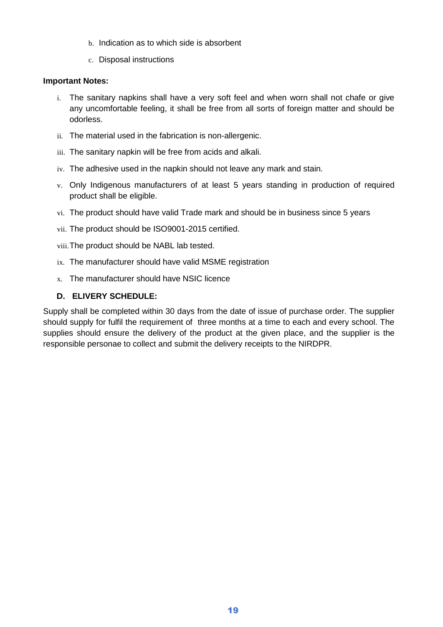- b. Indication as to which side is absorbent
- c. Disposal instructions

# **Important Notes:**

- i. The sanitary napkins shall have a very soft feel and when worn shall not chafe or give any uncomfortable feeling, it shall be free from all sorts of foreign matter and should be odorless.
- ii. The material used in the fabrication is non-allergenic.
- iii. The sanitary napkin will be free from acids and alkali.
- iv. The adhesive used in the napkin should not leave any mark and stain.
- v. Only Indigenous manufacturers of at least 5 years standing in production of required product shall be eligible.
- vi. The product should have valid Trade mark and should be in business since 5 years
- vii. The product should be ISO9001-2015 certified.
- viii.The product should be NABL lab tested.
- ix. The manufacturer should have valid MSME registration
- x. The manufacturer should have NSIC licence

# **D. ELIVERY SCHEDULE:**

Supply shall be completed within 30 days from the date of issue of purchase order. The supplier should supply for fulfil the requirement of three months at a time to each and every school. The supplies should ensure the delivery of the product at the given place, and the supplier is the responsible personae to collect and submit the delivery receipts to the NIRDPR.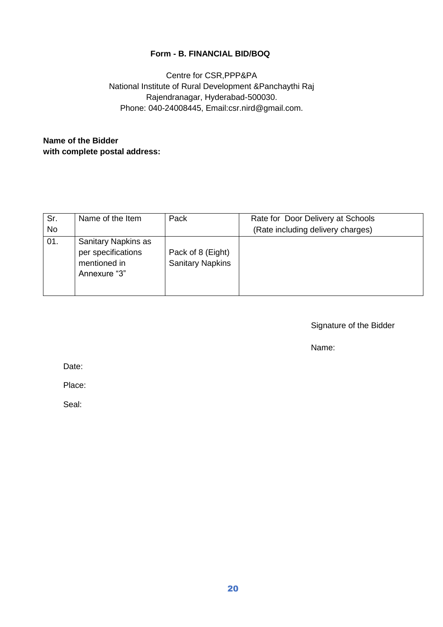# **Form - B. FINANCIAL BID/BOQ**

Centre for CSR,PPP&PA National Institute of Rural Development &Panchaythi Raj Rajendranagar, Hyderabad-500030. Phone: 040-24008445, Email:csr.nird@gmail.com.

# **Name of the Bidder with complete postal address:**

| Sr.       | Name of the Item                                                          | Pack                                         | Rate for Door Delivery at Schools |
|-----------|---------------------------------------------------------------------------|----------------------------------------------|-----------------------------------|
| <b>No</b> |                                                                           |                                              | (Rate including delivery charges) |
| 01.       | Sanitary Napkins as<br>per specifications<br>mentioned in<br>Annexure "3" | Pack of 8 (Eight)<br><b>Sanitary Napkins</b> |                                   |

Signature of the Bidder

Name:

Date:

Place:

Seal: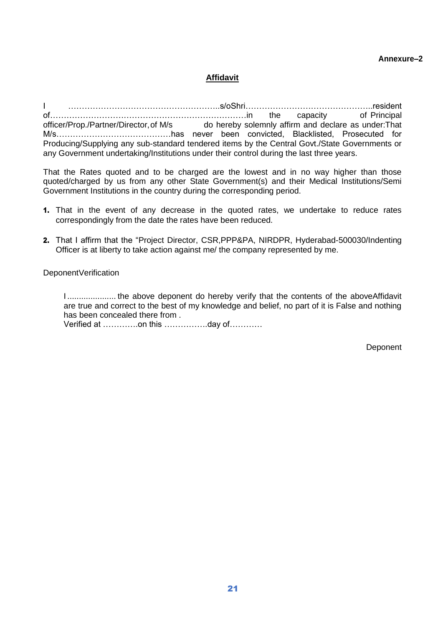### **Annexure–2**

# **Affidavit**

I ………………………………………………..s/oShri………………………………………..resident of………………………………………………………………in the capacity of Principal officer/Prop./Partner/Director,of M/s do hereby solemnly affirm and declare as under:That M/s……………………………………has never been convicted, Blacklisted, Prosecuted for Producing/Supplying any sub-standard tendered items by the Central Govt./State Governments or any Government undertaking/Institutions under their control during the last three years.

That the Rates quoted and to be charged are the lowest and in no way higher than those quoted/charged by us from any other State Government(s) and their Medical Institutions/Semi Government Institutions in the country during the corresponding period.

- 1. That in the event of any decrease in the quoted rates, we undertake to reduce rates correspondingly from the date the rates have been reduced.
- 2. That I affirm that the "Project Director, CSR,PPP&PA, NIRDPR, Hyderabad-500030/Indenting Officer is at liberty to take action against me/ the company represented by me.

DeponentVerification

I ..................... the above deponent do hereby verify that the contents of the aboveAffidavit are true and correct to the best of my knowledge and belief, no part of it is False and nothing has been concealed there from . Verified at ………….on this …………….day of…………

**Deponent**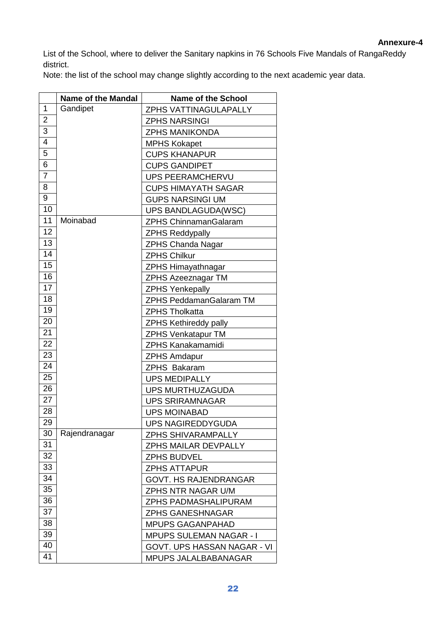List of the School, where to deliver the Sanitary napkins in 76 Schools Five Mandals of RangaReddy district.

Note: the list of the school may change slightly according to the next academic year data.

|                | <b>Name of the Mandal</b> | <b>Name of the School</b>      |
|----------------|---------------------------|--------------------------------|
| 1              | Gandipet                  | <b>ZPHS VATTINAGULAPALLY</b>   |
| $\overline{2}$ |                           | <b>ZPHS NARSINGI</b>           |
| 3              |                           | <b>ZPHS MANIKONDA</b>          |
| $\overline{4}$ |                           | <b>MPHS Kokapet</b>            |
| $\overline{5}$ |                           | <b>CUPS KHANAPUR</b>           |
| 6              |                           | <b>CUPS GANDIPET</b>           |
| $\overline{7}$ |                           | <b>UPS PEERAMCHERVU</b>        |
| 8              |                           | <b>CUPS HIMAYATH SAGAR</b>     |
| 9              |                           | <b>GUPS NARSINGI UM</b>        |
| 10             |                           | UPS BANDLAGUDA(WSC)            |
| 11             | Moinabad                  | <b>ZPHS ChinnamanGalaram</b>   |
| 12             |                           | <b>ZPHS Reddypally</b>         |
| 13             |                           | <b>ZPHS Chanda Nagar</b>       |
| 14             |                           | <b>ZPHS Chilkur</b>            |
| 15             |                           | <b>ZPHS Himayathnagar</b>      |
| 16             |                           | <b>ZPHS Azeeznagar TM</b>      |
| 17             |                           | <b>ZPHS Yenkepally</b>         |
| 18             |                           | <b>ZPHS PeddamanGalaram TM</b> |
| 19             |                           | <b>ZPHS Tholkatta</b>          |
| 20             |                           | <b>ZPHS Kethireddy pally</b>   |
| 21             |                           | <b>ZPHS Venkatapur TM</b>      |
| 22             |                           | <b>ZPHS Kanakamamidi</b>       |
| 23             |                           | <b>ZPHS Amdapur</b>            |
| 24             |                           | <b>ZPHS Bakaram</b>            |
| 25             |                           | <b>UPS MEDIPALLY</b>           |
| 26             |                           | <b>UPS MURTHUZAGUDA</b>        |
| 27             |                           | <b>UPS SRIRAMNAGAR</b>         |
| 28             |                           | <b>UPS MOINABAD</b>            |
| 29             |                           | <b>UPS NAGIREDDYGUDA</b>       |
| 30             | Rajendranagar             | <b>ZPHS SHIVARAMPALLY</b>      |
| 31             |                           | <b>ZPHS MAILAR DEVPALLY</b>    |
| 32             |                           | <b>ZPHS BUDVEL</b>             |
| 33             |                           | <b>ZPHS ATTAPUR</b>            |
| 34             |                           | <b>GOVT. HS RAJENDRANGAR</b>   |
| 35             |                           | ZPHS NTR NAGAR U/M             |
| 36             |                           | ZPHS PADMASHALIPURAM           |
| 37             |                           | <b>ZPHS GANESHNAGAR</b>        |
| 38             |                           | <b>MPUPS GAGANPAHAD</b>        |
| 39             |                           | <b>MPUPS SULEMAN NAGAR - I</b> |
| 40             |                           | GOVT. UPS HASSAN NAGAR - VI    |
| 41             |                           | MPUPS JALALBABANAGAR           |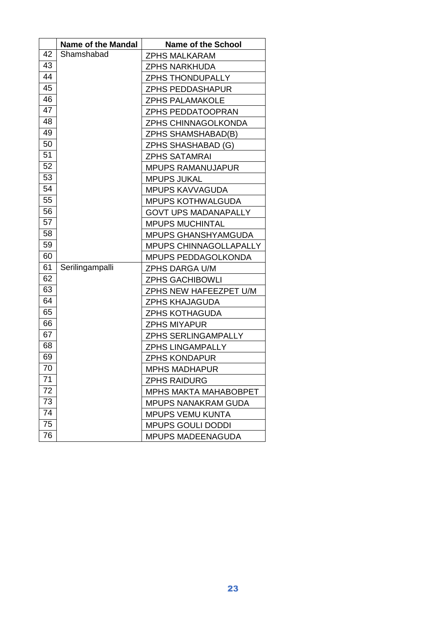|    | <b>Name of the Mandal</b> | <b>Name of the School</b>    |
|----|---------------------------|------------------------------|
| 42 | Shamshabad                | <b>ZPHS MALKARAM</b>         |
| 43 |                           | ZPHS NARKHUDA                |
| 44 |                           | <b>ZPHS THONDUPALLY</b>      |
| 45 |                           | <b>ZPHS PEDDASHAPUR</b>      |
| 46 |                           | <b>ZPHS PALAMAKOLE</b>       |
| 47 |                           | ZPHS PEDDATOOPRAN            |
| 48 |                           | ZPHS CHINNAGOLKONDA          |
| 49 |                           | <b>ZPHS SHAMSHABAD(B)</b>    |
| 50 |                           | ZPHS SHASHABAD (G)           |
| 51 |                           | <b>ZPHS SATAMRAI</b>         |
| 52 |                           | <b>MPUPS RAMANUJAPUR</b>     |
| 53 |                           | <b>MPUPS JUKAL</b>           |
| 54 |                           | <b>MPUPS KAVVAGUDA</b>       |
| 55 |                           | <b>MPUPS KOTHWALGUDA</b>     |
| 56 |                           | <b>GOVT UPS MADANAPALLY</b>  |
| 57 |                           | <b>MPUPS MUCHINTAL</b>       |
| 58 |                           | <b>MPUPS GHANSHYAMGUDA</b>   |
| 59 |                           | MPUPS CHINNAGOLLAPALLY       |
| 60 |                           | MPUPS PEDDAGOLKONDA          |
| 61 | Serilingampalli           | ZPHS DARGA U/M               |
| 62 |                           | <b>ZPHS GACHIBOWLI</b>       |
| 63 |                           | ZPHS NEW HAFEEZPET U/M       |
| 64 |                           | <b>ZPHS KHAJAGUDA</b>        |
| 65 |                           | <b>ZPHS KOTHAGUDA</b>        |
| 66 |                           | <b>ZPHS MIYAPUR</b>          |
| 67 |                           | <b>ZPHS SERLINGAMPALLY</b>   |
| 68 |                           | <b>ZPHS LINGAMPALLY</b>      |
| 69 |                           | <b>ZPHS KONDAPUR</b>         |
| 70 |                           | <b>MPHS MADHAPUR</b>         |
| 71 |                           | <b>ZPHS RAIDURG</b>          |
| 72 |                           | <b>MPHS MAKTA MAHABOBPET</b> |
| 73 |                           | <b>MPUPS NANAKRAM GUDA</b>   |
| 74 |                           | <b>MPUPS VEMU KUNTA</b>      |
| 75 |                           | <b>MPUPS GOULI DODDI</b>     |
| 76 |                           | <b>MPUPS MADEENAGUDA</b>     |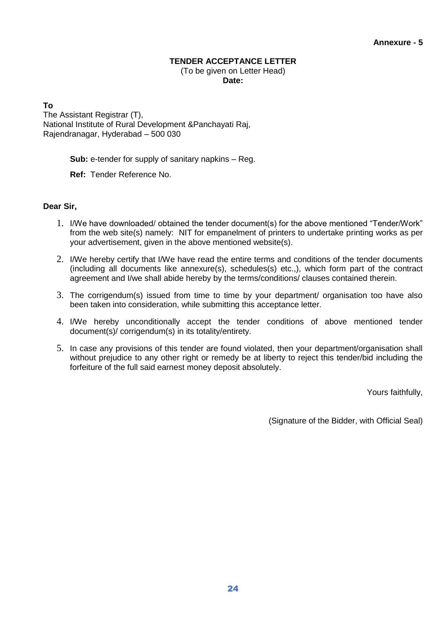# **TENDER ACCEPTANCE LETTER**

(To be given on Letter Head) **Date:**

**To**

The Assistant Registrar (T), National Institute of Rural Development &Panchayati Raj, Rajendranagar, Hyderabad – 500 030

**Sub:** e-tender for supply of sanitary napkins – Reg.

**Ref:** Tender Reference No.

# **Dear Sir,**

- 1. I/We have downloaded/ obtained the tender document(s) for the above mentioned "Tender/Work" from the web site(s) namely: NIT for empanelment of printers to undertake printing works as per your advertisement, given in the above mentioned website(s).
- 2. I/We hereby certify that I/We have read the entire terms and conditions of the tender documents (including all documents like annexure(s), schedules(s) etc.,), which form part of the contract agreement and I/we shall abide hereby by the terms/conditions/ clauses contained therein.
- 3. The corrigendum(s) issued from time to time by your department/ organisation too have also been taken into consideration, while submitting this acceptance letter.
- 4. I/We hereby unconditionally accept the tender conditions of above mentioned tender document(s)/ corrigendum(s) in its totality/entirety.
- 5. In case any provisions of this tender are found violated, then your department/organisation shall without prejudice to any other right or remedy be at liberty to reject this tender/bid including the forfeiture of the full said earnest money deposit absolutely.

Yours faithfully,

(Signature of the Bidder, with Official Seal)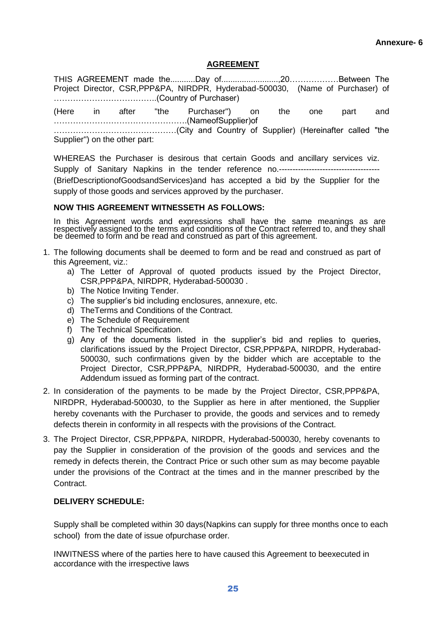### **AGREEMENT**

THIS AGREEMENT made the...........Day of.........................,20………………Between The Project Director, CSR,PPP&PA, NIRDPR, Hyderabad-500030, (Name of Purchaser) of ………………………………..(Country of Purchaser) (Here in after "the Purchaser") on the one part and ………………………………………….(NameofSupplier)of ………………………………………(City and Country of Supplier) (Hereinafter called "the Supplier") on the other part:

WHEREAS the Purchaser is desirous that certain Goods and ancillary services viz. Supply of Sanitary Napkins in the tender reference no.------------------------------------- (BriefDescriptionofGoodsandServices)and has accepted a bid by the Supplier for the supply of those goods and services approved by the purchaser.

#### **NOW THIS AGREEMENT WITNESSETH AS FOLLOWS:**

In this Agreement words and expressions shall have the same meanings as are respectively assigned to the terms and conditions of the Contract referred to, and they shall be deemed to form and be read and construed as part of this agreement.

- 1. The following documents shall be deemed to form and be read and construed as part of this Agreement, viz.:
	- a) The Letter of Approval of quoted products issued by the Project Director, CSR,PPP&PA, NIRDPR, Hyderabad-500030 .
	- b) The Notice Inviting Tender.
	- c) The supplier's bid including enclosures, annexure, etc.
	- d) TheTerms and Conditions of the Contract.
	- e) The Schedule of Requirement
	- f) The Technical Specification.
	- g) Any of the documents listed in the supplier's bid and replies to queries, clarifications issued by the Project Director, CSR,PPP&PA, NIRDPR, Hyderabad-500030, such confirmations given by the bidder which are acceptable to the Project Director, CSR,PPP&PA, NIRDPR, Hyderabad-500030, and the entire Addendum issued as forming part of the contract.
- 2. In consideration of the payments to be made by the Project Director, CSR,PPP&PA, NIRDPR, Hyderabad-500030, to the Supplier as here in after mentioned, the Supplier hereby covenants with the Purchaser to provide, the goods and services and to remedy defects therein in conformity in all respects with the provisions of the Contract.
- 3. The Project Director, CSR,PPP&PA, NIRDPR, Hyderabad-500030, hereby covenants to pay the Supplier in consideration of the provision of the goods and services and the remedy in defects therein, the Contract Price or such other sum as may become payable under the provisions of the Contract at the times and in the manner prescribed by the Contract.

# **DELIVERY SCHEDULE:**

Supply shall be completed within 30 days(Napkins can supply for three months once to each school) from the date of issue ofpurchase order.

INWITNESS where of the parties here to have caused this Agreement to beexecuted in accordance with the irrespective laws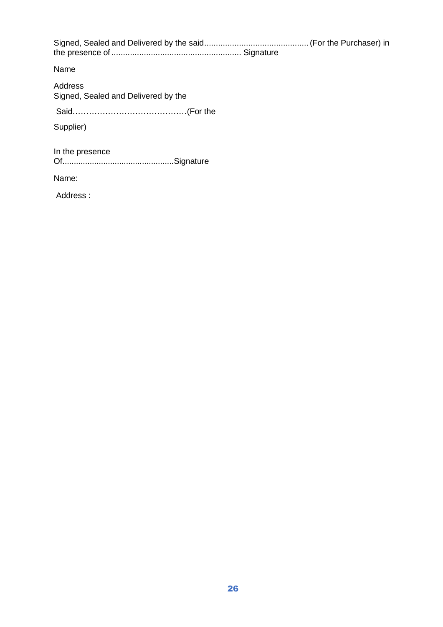| Name                                           |  |
|------------------------------------------------|--|
| Address<br>Signed, Sealed and Delivered by the |  |
|                                                |  |
| Supplier)                                      |  |
| In the presence                                |  |
| Name:                                          |  |
| Address:                                       |  |